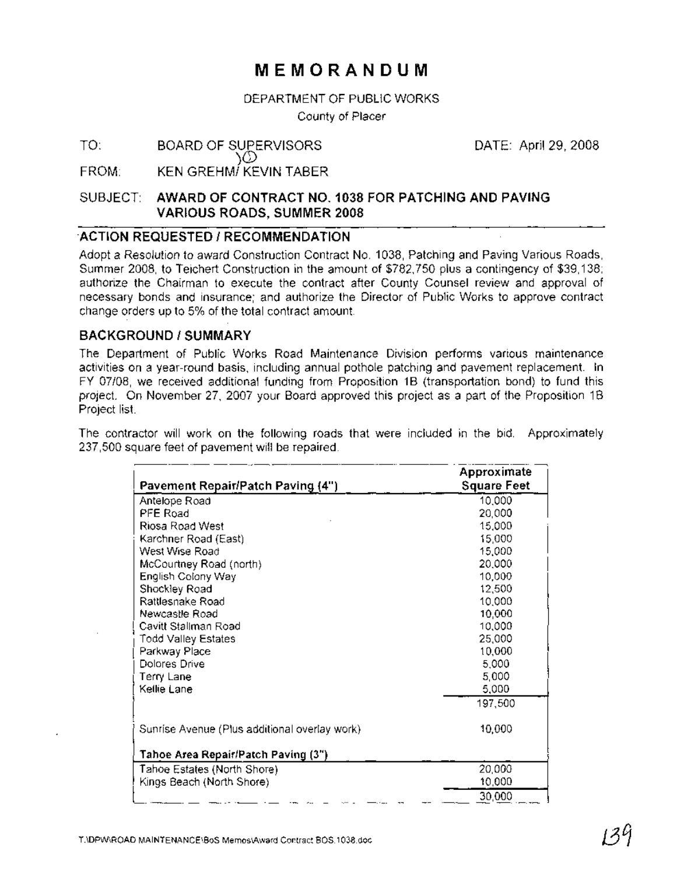## **MEMORANDUM**

#### DEPARTMENT OF PUBLIC WORKS

County of Placer

#### TO: BOARD OF SUPERVISORS )(2)

DATE: April 29, 2008

FROM: KEN GREHMI KEVIN TABER

### SUBJECT: AWARD OF CONTRACT NO. 1038 FOR PATCHING AND PAVING VARIOUS ROADS, SUMMER 2008

### 'ACTION REQUESTED / RECOMMENDATION

Adopt a Resolution to award Construction Contract No. 1038, Patching and Paving Various Roads, Summer 2008, to Teichert Construction in the amount of \$782,750 plus a contingency of \$39,138; authorize the Chairman to execute the contract after County Counsel review and approval of necessary bonds and insurance; and authorize the Director of Public Works to approve contract change orders up to 5% of the total contract amount.

### BACKGROUND/SUMMARY

The Department of Public Works Road Maintenance Division performs various maintenance activities on a year-round basis, including annual pothole patching and pavement replacement. In FY 07/08, we received additional funding from Proposition 1B (transportation bond) to fund this project. On November 27, 2007 your Board approved this project as a part of the Proposition 1B Project list.

The contractor will work on the following roads that were included in the bid. Approximately 237,500 square feet of pavement will be repaired.

|                                               | Approximate        |
|-----------------------------------------------|--------------------|
| Pavement Repair/Patch Paving (4")             | <b>Square Feet</b> |
| Antelope Road                                 | 10,000             |
| PFE Road                                      | 20,000             |
| Riosa Road West                               | 15,000             |
| Karchner Road (East)                          | 15,000             |
| West Wise Road                                | 15,000             |
| McCourtney Road (north)                       | 20,000             |
| English Colony Way                            | 10,000             |
| Shockley Road                                 | 12,500             |
| Rattlesnake Road                              | 10,000             |
| Newcastle Road                                | 10,000             |
| Cavitt Stallman Road                          | 10,000             |
| Todd Valley Estates                           | 25,000             |
| Parkway Place                                 | 10,000             |
| Dolores Drive                                 | 5,000              |
| Terry Lane                                    | 5,000              |
| Kellie Lane                                   | 5,000              |
|                                               | 197,500            |
| Sunrise Avenue (Plus additional overlay work) | 10,000             |
| Tahoe Area Repair/Patch Paving (3")           |                    |
| Tahoe Estates (North Shore)                   | 20,000             |
| Kings Beach (North Shore)                     | 10,000             |
|                                               | 30,000             |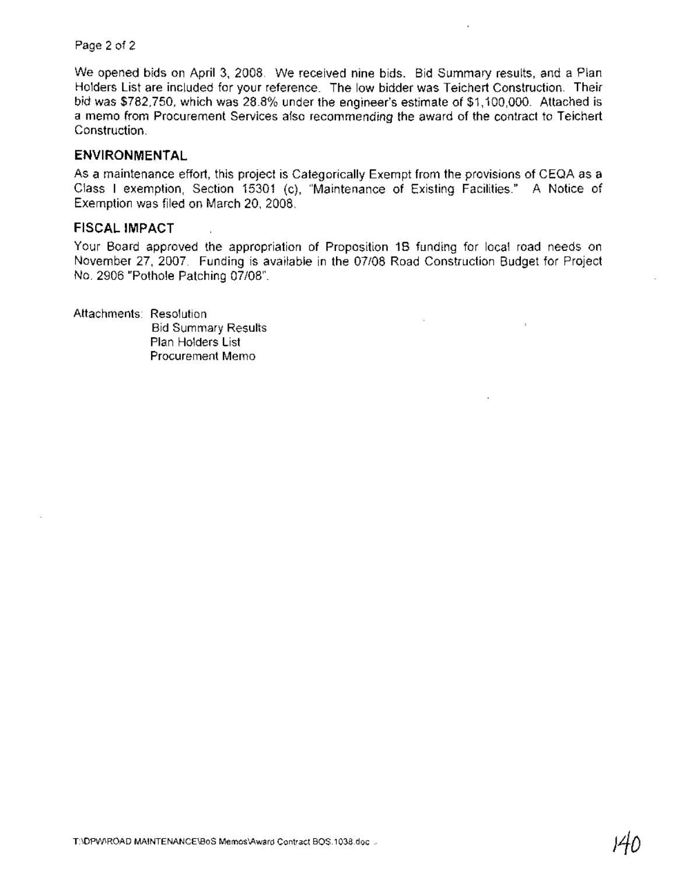We opened bids on April 3, 2008. We received nine bids. Bid Summary results, and a Plan Holders List are included for your reference. The low bidder was Teichert Construction. Their bid was \$782,750, which was 28.8% under the engineer's estimate of \$1,100,000. Attached is a memo from Procurement Services also recommending the award of the contract to Teichert Construction.

#### **ENVIRONMENTAL**

As a maintenance effort, this project is Categorically Exempt from the provisions of CEQA as a Class I exemption, Section 15301 (c), "Maintenance of Existing Facilities." A Notice of Exemption was filed on March 20, 2008.

### **FISCAL IMPACT**

Your Board approved the appropriation of Proposition 1B funding for local road needs on November 27, 2007. Funding is available in the 07/08 Road Construction Budget for Project No. 2906 "Pothole Patching 07/08".

Attachments: Resolution

Bid Summary Results Plan Holders List Procurement Memo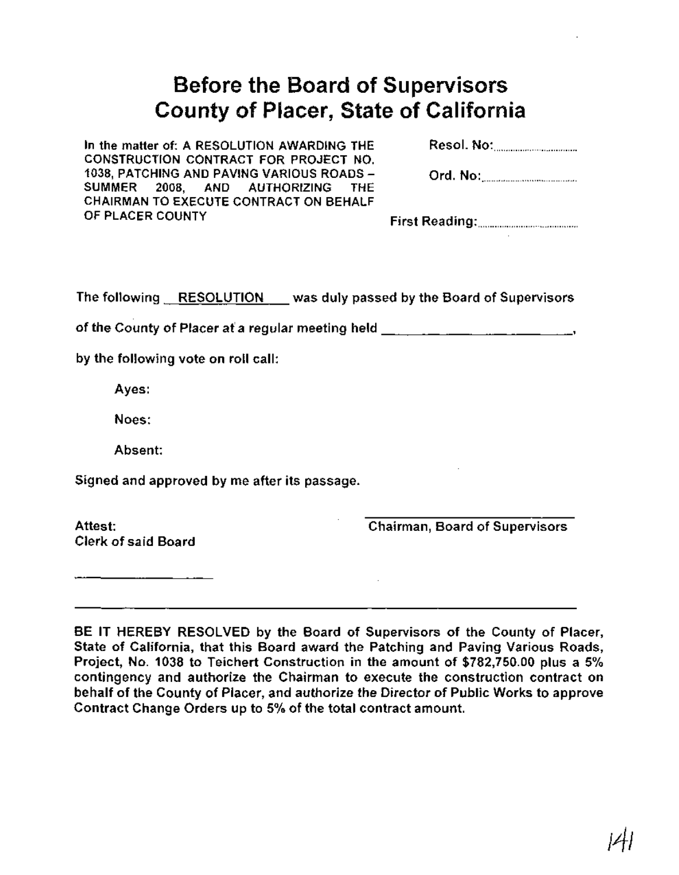# Before the Board of Supervisors County of Placer, State of California

In the matter of: A RESOLUTION AWARDING THE CONSTRUCTION CONTRACT FOR PROJECT NO. 1038, PATCHING AND PAVING VARIOUS ROADS-AND AUTHORIZING THE CHAIRMAN TO EXECUTE CONTRACT ON BEHALF OF PLACER COUNTY

Resol. No: .

Ord. No: .

First Reading: .

The following RESOLUTION was duly passed by the Board of Supervisors

of the County of Placer at a regular meeting held  $\frac{1}{2}$ ,  $\frac{1}{2}$ ,  $\frac{1}{2}$ ,  $\frac{1}{2}$ ,  $\frac{1}{2}$ ,  $\frac{1}{2}$ 

by the following vote on roll call:

Ayes:

Noes:

Absent:

Signed and approved by me after its passage.

Attest: Clerk of said Board Chairman, Board of Supervisors

BE IT HEREBY RESOLVED by the Board of Supervisors of the County of Placer, State of California, that this Board award the Patching and Paving Various Roads, Project, No.1 038 to Teichert Construction in the amount of \$782,750.00 plus a 5% contingency and authorize the Chairman to execute the construction contract on behalf of the County of Placer, and authorize the Director of Public Works to approve Contract Change Orders up to 5% of the total contract amount.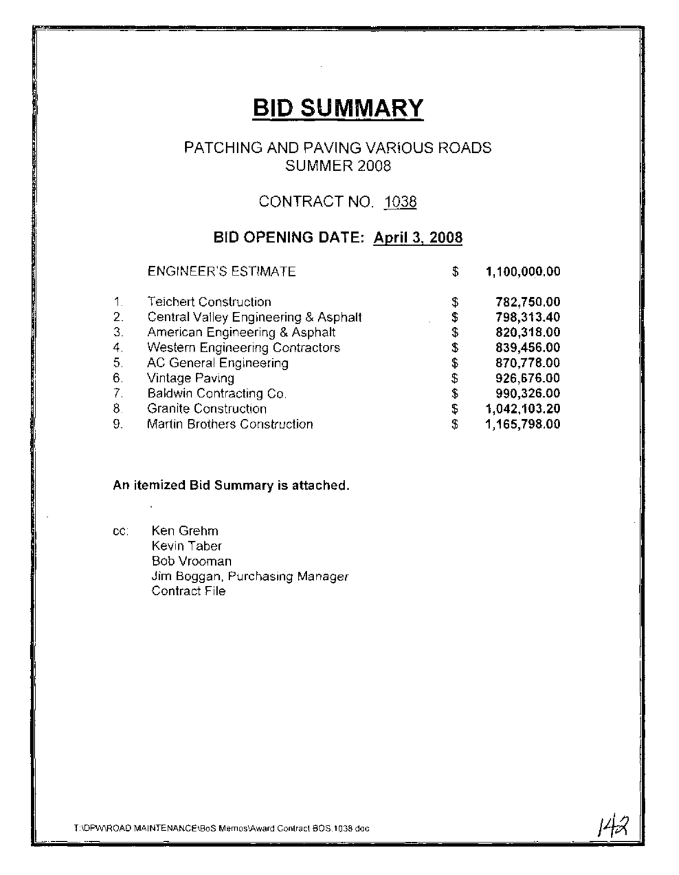# **BID SUMMARY**

### PATCHING AND PAVING VARIOUS ROADS SUMMER 2008

## CONTRACT NO. 1038

## BID OPENING DATE: April 3, 2008

|                | <b>ENGINEER'S ESTIMATE</b>           | \$<br>1,100,000.00 |
|----------------|--------------------------------------|--------------------|
| $\mathbf{1}$ . | <b>Teichert Construction</b>         | \$<br>782,750.00   |
| 2.             | Central Valley Engineering & Asphalt | \$<br>798,313.40   |
| 3.             | American Engineering & Asphalt       | \$<br>820,318.00   |
| 4.             | Western Engineering Contractors      | \$<br>839,456.00   |
| 5.             | <b>AC General Engineering</b>        | \$<br>870,778.00   |
| 6.             | Vintage Paving                       | \$<br>926,676.00   |
| -7.            | Baldwin Contracting Co.              | \$<br>990,326.00   |
| 8.             | <b>Granite Construction</b>          | \$<br>1,042,103.20 |
| 9.             | Martin Brothers Construction         | \$<br>1,165,798.00 |

14x

### An itemized Bid Summary is attached.

cc: Ken Grehm Kevin Taber Bob Vrooman Jim Boggan, Purchasing Manager Contract File

T:\DPw\ROAD MAINTENANCE\BoS Memos\Award Contract BOS.1 038.doc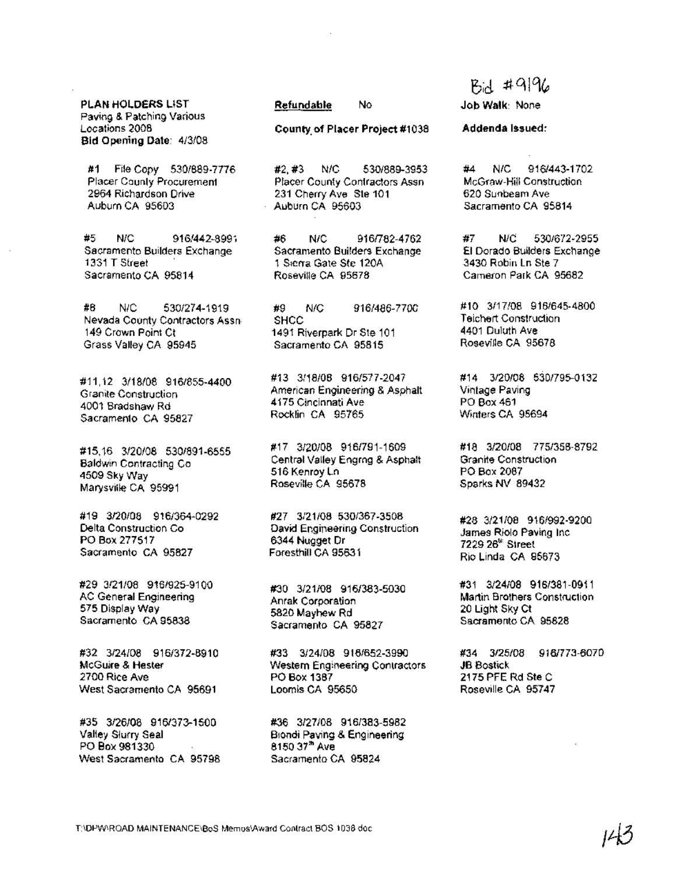PLAN HOLDERS LIST Paving & Patching Various Locations 2008 Bid Opening Date: 4/3/08

#1 File Copy 530/889-7776 Placer County Procurement 2964 Richardson Drive Auburn CA 95603

#5 N/C 916/442~8991 Sacramento Builders Exchange 1331 T Street . Sacramento CA 95814

#8 N/C 530/274-1919 Nevada County Contractors Assn 149 Crown Point Ct Grass Valley CA 95945

#11,12 3/18/08 9161855·4400 Granite Construction 4001 Bradshaw Rd Sacramento CA 95827

#15.16 3/20/08 530/891-6555 Baldwin Contracting Co 4509 Sky Way Marysville CA 95991

#19 3/20/08 9161364-0292 Delta Construction Co PO Box 277517 Sacramento CA 95827

#29 3/21/08 916/925-9100 AC General Engineering 575 Display Way Sacramento CA 95838

#32 3/24/08 916/372-8910 McGuire & Hester 2700 Rice Ave West Sacramento CA 95691

#35 3126/08 9161373-1500 Valley Slurry Seal PO *80x 981330* West Sacramento CA 95798

#### Refundable No

County. of Placer Project #1038

#2, #3 N/C 530/889-3953 Placer County Contractors Assn 231 Cherry Ave ste 101 Auburn CA 95603

#6 N/C 916/782-4762 Sacramento Builders Exchange 1 Sierra Gate Ste 120A Roseville CA 95678

#9 NrC 9161486-7700 **SHCC** 1491 Riverpark Dr Ste 101 Sacramento CA 95815

#13 3/18/08 9161577-2047 American Engineering & Asphalt 4175 Cincinnati Ave Rocklin CA 95765

#17 3/20/08 916/791-1609 Central Valley Engrng & Asphalt 516 Kenroy Ln Roseville CA 95678

#27 3/21/08 5301367-3508 David Engineering Construction 6344 Nugget Dr Foresthill CA 95631

*#30 3/21/08 9161383·5030* Anrak Corporation 5820 Mayhew Rd Sacramento CA 95827

#33 3/24/08 916/652-3990 Western Engineering Contractors PO Box 1387 Loomis CA 95650

#36 3/27/08 916/383-5982 Biondi Paving & Engineering 8150 3t*<sup>h</sup>* Ave Sacramento CA 95824

# $Bid$  # 9196

Job Walk: None

#### Addenda Issued:

#4 N/C 916/443·1702 McGraw-Hili Construction 620 Sunbeam Ave Sacramento CA 95814

#7 N/C 530/672-2955 EI Dorado Builders Exchange 3430 Robin Ln Ste 7 Cameron Park CA 95682

#10 3/17/08 9161645-4800 Teichert Construction 4401 Duluth Ave Roseville CA 95678

#14 3/20/08 530/795-0132 Vintage Paving PO Box 461 Winters CA 95694

#18 3/20/08 775/358-8792 Granite Construction PO Box 2087 Sparks NV 89432

#28 3/21/08 9161992-9200 James Riolo Paving Inc 7229 26<sup>th</sup> Street Rio Linda CA 95673

#31 3/24/08 916/381-0911 Martin Brothers Construction 20 Light Sky Ct Sacramento CA 95828

#34 3/25/08 9161773-6070 JB Bostick 2175 PFE Rd Ste C Roseville CA 95747